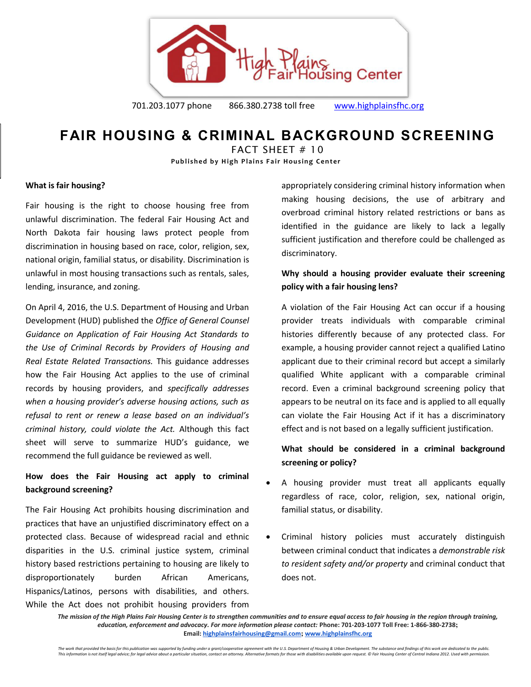

**FAIR HOUSING & CRIMINAL BACKGROUND SCREENING** 

FACT SHEFT  $# 10$ **Published by High Plains Fair Housing Center** 

#### **What is fair housing?**

Fair housing is the right to choose housing free from unlawful discrimination. The federal Fair Housing Act and North Dakota fair housing laws protect people from discrimination in housing based on race, color, religion, sex, national origin, familial status, or disability. Discrimination is unlawful in most housing transactions such as rentals, sales, lending, insurance, and zoning.

On April 4, 2016, the U.S. Department of Housing and Urban Development (HUD) published the *Office of General Counsel Guidance on Application of Fair Housing Act Standards to the Use of Criminal Records by Providers of Housing and Real Estate Related Transactions.* This guidance addresses how the Fair Housing Act applies to the use of criminal records by housing providers, and *specifically addresses when a housing provider's adverse housing actions, such as refusal to rent or renew a lease based on an individual's criminal history, could violate the Act.* Although this fact sheet will serve to summarize HUD's guidance, we recommend the full guidance be reviewed as well.

## **How does the Fair Housing act apply to criminal background screening?**

The Fair Housing Act prohibits housing discrimination and practices that have an unjustified discriminatory effect on a protected class. Because of widespread racial and ethnic disparities in the U.S. criminal justice system, criminal history based restrictions pertaining to housing are likely to disproportionately burden African Americans, Hispanics/Latinos, persons with disabilities, and others. While the Act does not prohibit housing providers from

appropriately considering criminal history information when making housing decisions, the use of arbitrary and overbroad criminal history related restrictions or bans as identified in the guidance are likely to lack a legally sufficient justification and therefore could be challenged as discriminatory.

## **Why should a housing provider evaluate their screening policy with a fair housing lens?**

A violation of the Fair Housing Act can occur if a housing provider treats individuals with comparable criminal histories differently because of any protected class. For example, a housing provider cannot reject a qualified Latino applicant due to their criminal record but accept a similarly qualified White applicant with a comparable criminal record. Even a criminal background screening policy that appears to be neutral on its face and is applied to all equally can violate the Fair Housing Act if it has a discriminatory effect and is not based on a legally sufficient justification.

## **What should be considered in a criminal background screening or policy?**

- A housing provider must treat all applicants equally regardless of race, color, religion, sex, national origin, familial status, or disability.
- Criminal history policies must accurately distinguish between criminal conduct that indicates a *demonstrable risk to resident safety and/or property* and criminal conduct that does not.

*The mission of the High Plains Fair Housing Center is to strengthen communities and to ensure equal access to fair housing in the region through training, education, enforcement and advocacy. For more information please contact:* **Phone: 701-203-1077 Toll Free: 1-866-380-2738; Email[: highplainsfairhousing@gmail.com](mailto:highplainsfairhousing@gmail.com); [www.highplainsfhc.org](http://www.highplainsfhc.org/)**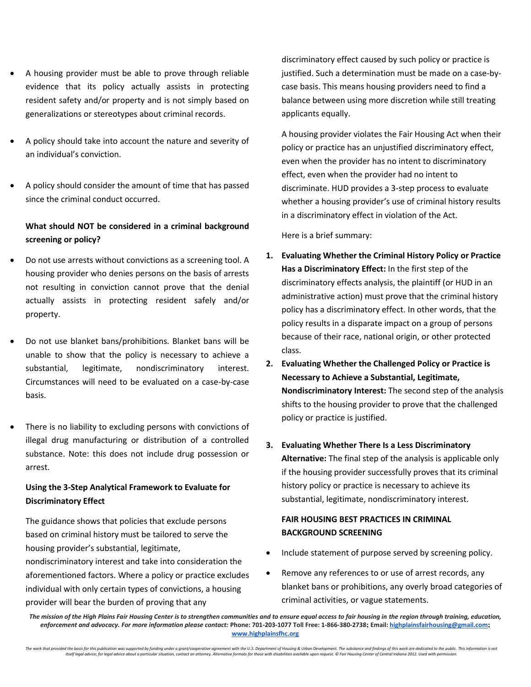- A housing provider must be able to prove through reliable evidence that its policy actually assists in protecting resident safety and/or property and is not simply based on generalizations or stereotypes about criminal records.
- A policy should take into account the nature and severity of an individual's conviction.
- A policy should consider the amount of time that has passed since the criminal conduct occurred.

# **What should NOT be considered in a criminal background screening or policy?**

- Do not use arrests without convictions as a screening tool. A housing provider who denies persons on the basis of arrests not resulting in conviction cannot prove that the denial actually assists in protecting resident safely and/or property.
- Do not use blanket bans/prohibitions. Blanket bans will be unable to show that the policy is necessary to achieve a substantial, legitimate, nondiscriminatory interest. Circumstances will need to be evaluated on a case-by-case basis.
- There is no liability to excluding persons with convictions of illegal drug manufacturing or distribution of a controlled substance. Note: this does not include drug possession or arrest.

#### **Using the 3-Step Analytical Framework to Evaluate for Discriminatory Effect**

The guidance shows that policies that exclude persons based on criminal history must be tailored to serve the housing provider's substantial, legitimate,

nondiscriminatory interest and take into consideration the aforementioned factors. Where a policy or practice excludes individual with only certain types of convictions, a housing provider will bear the burden of proving that any

discriminatory effect caused by such policy or practice is justified. Such a determination must be made on a case-bycase basis. This means housing providers need to find a balance between using more discretion while still treating applicants equally.

A housing provider violates the Fair Housing Act when their policy or practice has an unjustified discriminatory effect, even when the provider has no intent to discriminatory effect, even when the provider had no intent to discriminate. HUD provides a 3-step process to evaluate whether a housing provider's use of criminal history results in a discriminatory effect in violation of the Act.

Here is a brief summary:

- **1. Evaluating Whether the Criminal History Policy or Practice Has a Discriminatory Effect:** In the first step of the discriminatory effects analysis, the plaintiff (or HUD in an administrative action) must prove that the criminal history policy has a discriminatory effect. In other words, that the policy results in a disparate impact on a group of persons because of their race, national origin, or other protected class.
- **2. Evaluating Whether the Challenged Policy or Practice is Necessary to Achieve a Substantial, Legitimate, Nondiscriminatory Interest:** The second step of the analysis shifts to the housing provider to prove that the challenged policy or practice is justified.
- **3. Evaluating Whether There Is a Less Discriminatory Alternative:** The final step of the analysis is applicable only if the housing provider successfully proves that its criminal history policy or practice is necessary to achieve its substantial, legitimate, nondiscriminatory interest.

## **FAIR HOUSING BEST PRACTICES IN CRIMINAL BACKGROUND SCREENING**

- Include statement of purpose served by screening policy.
- Remove any references to or use of arrest records, any blanket bans or prohibitions, any overly broad categories of criminal activities, or vague statements.

*The mission of the High Plains Fair Housing Center is to strengthen communities and to ensure equal access to fair housing in the region through training, education, enforcement and advocacy. For more information please contact:* **Phone: 701-203-1077 Toll Free: 1-866-380-2738; Email[: highplainsfairhousing@gmail.com](mailto:highplainsfairhousing@gmail.com); [www.highplainsfhc.org](http://www.highplainsfhc.org/)**

The work that provided the basis for this publication was supported by funding under a grant/cooperative agreement with the U.S. Department of Housing & Urban Development. The substance and findings of this work are dedica itself legal advice; for legal advice about a particular situation, contact an attorney. Alternative formats for those with disabilities available upon request. © Fair Housing Center of Central Indiana 2012. Used with pern